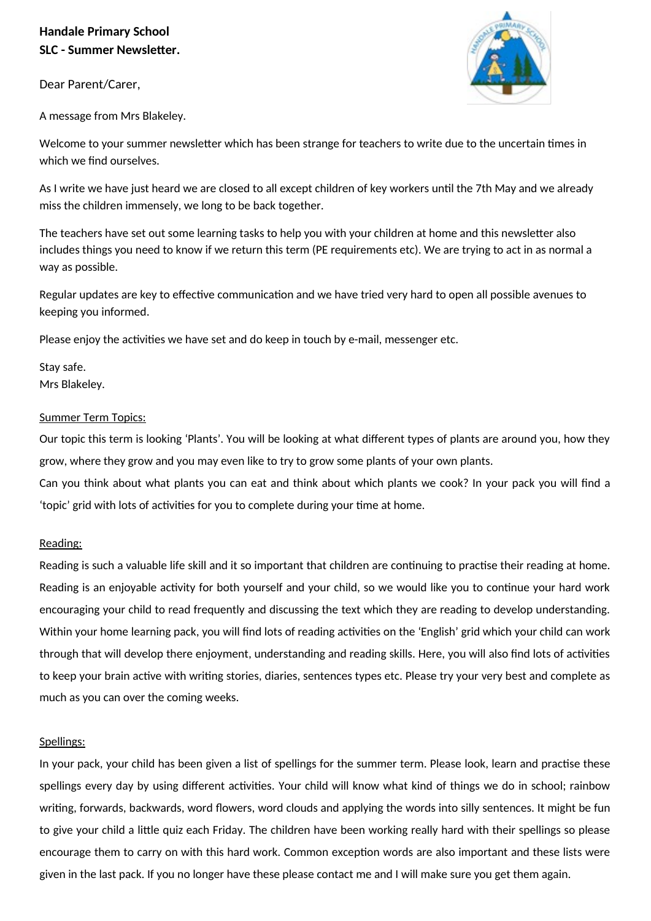# **Handale Primary School SLC - Summer Newsletter.**

Dear Parent/Carer,

A message from Mrs Blakeley.

Welcome to your summer newsletter which has been strange for teachers to write due to the uncertain times in which we find ourselves.

As I write we have just heard we are closed to all except children of key workers until the 7th May and we already miss the children immensely, we long to be back together.

The teachers have set out some learning tasks to help you with your children at home and this newsletter also includes things you need to know if we return this term (PE requirements etc). We are trying to act in as normal a way as possible.

Regular updates are key to effective communication and we have tried very hard to open all possible avenues to keeping you informed.

Please enjoy the activities we have set and do keep in touch by e-mail, messenger etc.

Stay safe. Mrs Blakeley.

## Summer Term Topics:

Our topic this term is looking 'Plants'. You will be looking at what different types of plants are around you, how they grow, where they grow and you may even like to try to grow some plants of your own plants.

Can you think about what plants you can eat and think about which plants we cook? In your pack you will find a 'topic' grid with lots of activities for you to complete during your time at home.

## Reading:

Reading is such a valuable life skill and it so important that children are continuing to practise their reading at home. Reading is an enjoyable activity for both yourself and your child, so we would like you to continue your hard work encouraging your child to read frequently and discussing the text which they are reading to develop understanding. Within your home learning pack, you will find lots of reading activities on the 'English' grid which your child can work through that will develop there enjoyment, understanding and reading skills. Here, you will also find lots of activities to keep your brain active with writing stories, diaries, sentences types etc. Please try your very best and complete as much as you can over the coming weeks.

## Spellings:

In your pack, your child has been given a list of spellings for the summer term. Please look, learn and practise these spellings every day by using different activities. Your child will know what kind of things we do in school; rainbow writing, forwards, backwards, word flowers, word clouds and applying the words into silly sentences. It might be fun to give your child a little quiz each Friday. The children have been working really hard with their spellings so please encourage them to carry on with this hard work. Common exception words are also important and these lists were given in the last pack. If you no longer have these please contact me and I will make sure you get them again.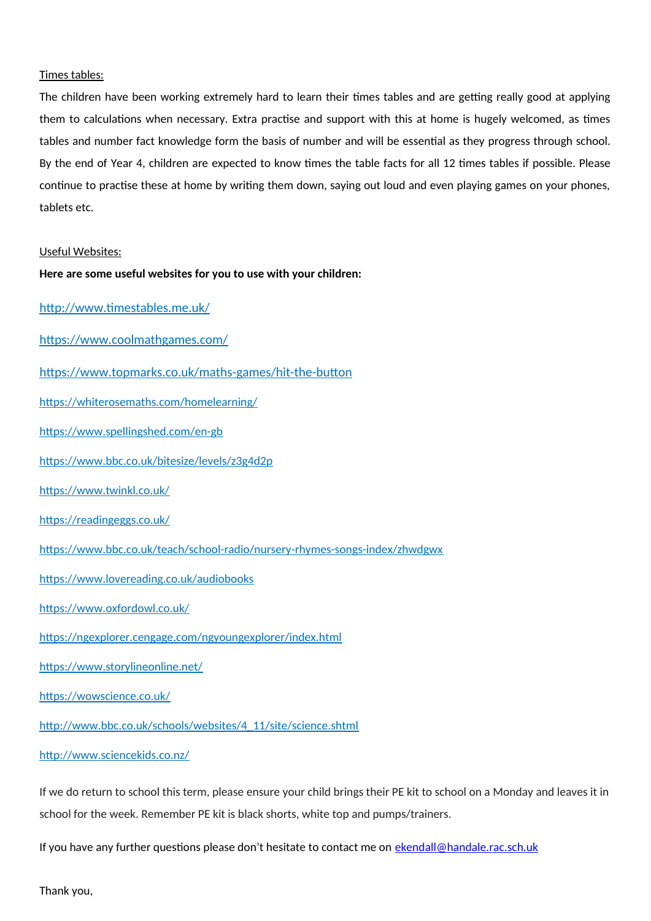#### Times tables:

The children have been working extremely hard to learn their times tables and are getting really good at applying them to calculations when necessary. Extra practise and support with this at home is hugely welcomed, as times tables and number fact knowledge form the basis of number and will be essential as they progress through school. By the end of Year 4, children are expected to know times the table facts for all 12 times tables if possible. Please continue to practise these at home by writing them down, saying out loud and even playing games on your phones, tablets etc.

#### Useful Websites:

#### **Here are some useful websites for you to use with your children:**

<http://www.timestables.me.uk/>

<https://www.coolmathgames.com/>

<https://www.topmarks.co.uk/maths-games/hit-the-button>

<https://whiterosemaths.com/homelearning/>

<https://www.spellingshed.com/en-gb>

<https://www.bbc.co.uk/bitesize/levels/z3g4d2p>

<https://www.twinkl.co.uk/>

<https://readingeggs.co.uk/>

<https://www.bbc.co.uk/teach/school-radio/nursery-rhymes-songs-index/zhwdgwx>

<https://www.lovereading.co.uk/audiobooks>

<https://www.oxfordowl.co.uk/>

<https://ngexplorer.cengage.com/ngyoungexplorer/index.html>

<https://www.storylineonline.net/>

<https://wowscience.co.uk/>

[http://www.bbc.co.uk/schools/websites/4\\_11/site/science.shtml](http://www.bbc.co.uk/schools/websites/4_11/site/science.shtml)

<http://www.sciencekids.co.nz/>

If we do return to school this term, please ensure your child brings their PE kit to school on a Monday and leaves it in school for the week. Remember PE kit is black shorts, white top and pumps/trainers.

If you have any further questions please don't hesitate to contact me on [ekendall@handale.rac.sch.uk](mailto:ekendall@handale.rac.sch.uk)

Thank you,